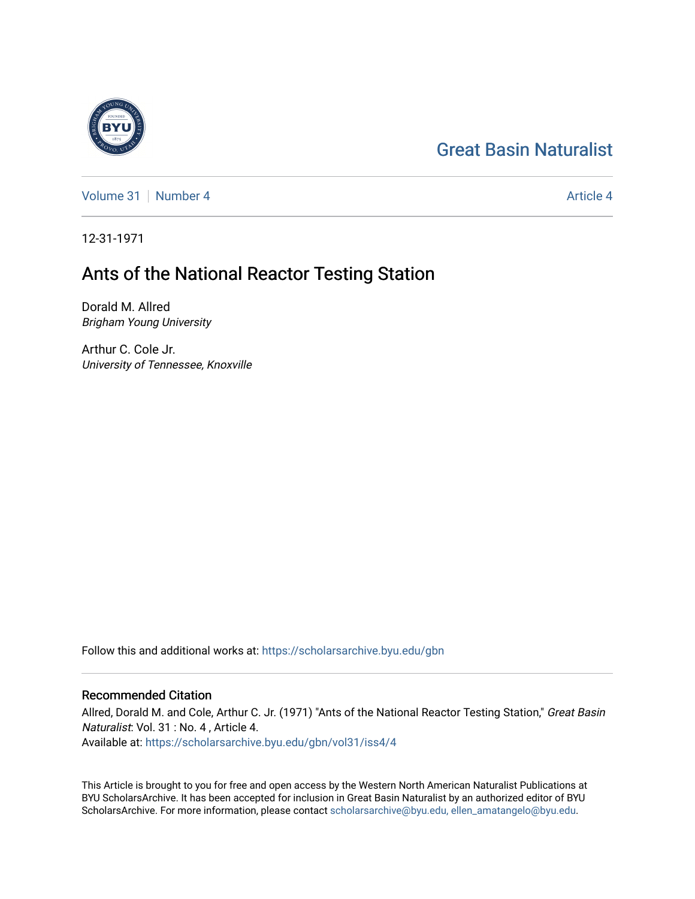# [Great Basin Naturalist](https://scholarsarchive.byu.edu/gbn)



[Volume 31](https://scholarsarchive.byu.edu/gbn/vol31) | [Number 4](https://scholarsarchive.byu.edu/gbn/vol31/iss4) [Article 4](https://scholarsarchive.byu.edu/gbn/vol31/iss4/4) Article 4 Article 4 Article 4 Article 4 Article 4 Article 4 Article 4 Article 4

12-31-1971

# Ants of the National Reactor Testing Station

Dorald M. Allred Brigham Young University

Arthur C. Cole Jr. University of Tennessee, Knoxville

Follow this and additional works at: [https://scholarsarchive.byu.edu/gbn](https://scholarsarchive.byu.edu/gbn?utm_source=scholarsarchive.byu.edu%2Fgbn%2Fvol31%2Fiss4%2F4&utm_medium=PDF&utm_campaign=PDFCoverPages) 

# Recommended Citation

Allred, Dorald M. and Cole, Arthur C. Jr. (1971) "Ants of the National Reactor Testing Station," Great Basin Naturalist: Vol. 31 : No. 4 , Article 4. Available at: [https://scholarsarchive.byu.edu/gbn/vol31/iss4/4](https://scholarsarchive.byu.edu/gbn/vol31/iss4/4?utm_source=scholarsarchive.byu.edu%2Fgbn%2Fvol31%2Fiss4%2F4&utm_medium=PDF&utm_campaign=PDFCoverPages)

This Article is brought to you for free and open access by the Western North American Naturalist Publications at BYU ScholarsArchive. It has been accepted for inclusion in Great Basin Naturalist by an authorized editor of BYU ScholarsArchive. For more information, please contact [scholarsarchive@byu.edu, ellen\\_amatangelo@byu.edu.](mailto:scholarsarchive@byu.edu,%20ellen_amatangelo@byu.edu)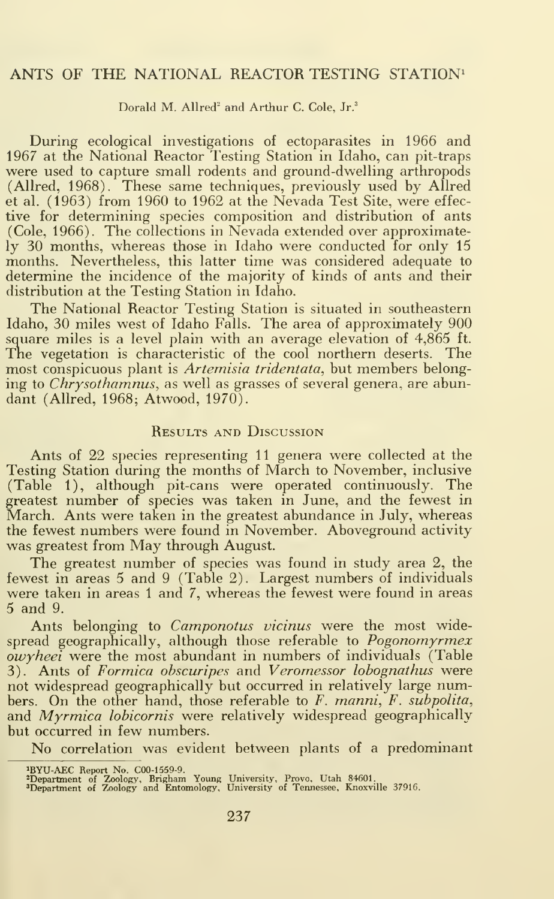## ANTS OF THE NATIONAL REACTOR TESTING STATION<sup>1</sup>

#### Dorald M. Allred<sup>2</sup> and Arthur C. Cole, Jr.<sup>3</sup>

During ecological investigations of ectoparasites in 1966 and 1967 at the National Reactor Testing Station in Idaho, can pit-traps were used to capture small rodents and ground-dwelling arthropods (Allred, 1968). These same techniques, previously used by Allred et al. (1963) from 1960 to 1962 at the Nevada Test Site, were effec tive for determining species composition and distribution of ants (Cole, 1966). The collections in Nevada extended over approximately 30 months, whereas those in Idaho were conducted for only 15 months. Nevertheless, this latter time was considered adequate to determine the incidence of the majority of kinds of ants and their distribution at the Testing Station in Idaho.

The National Reactor Testing Station is situated in southeastern Idaho, 30 miles west of Idaho Falls. The area of approximately 900 square miles is a level plain with an average elevation of 4,865 ft. The vegetation is characteristic of the cool northern deserts. The most conspicuous plant is Artemisia tridentata, but members belonging to *Chrysothamnus*, as well as grasses of several genera, are abundant (Allred, 1968; Atwood, 1970).

### Results and Discussion

Ants of 22 species representing 11 genera were collected at the Testing Station during the months of March to November, inclusive (Table 1), although pit-cans were operated continuously. The greatest number of species was taken in June, and the fewest in March. Ants were taken in the greatest abundance in July, whereas the fewest numbers were found in November. Aboveground activity was greatest from May through August.

The greatest number of species was found in study area 2, the fewest in areas 5 and 9 (Table 2). Largest numbers of individuals were taken in areas <sup>1</sup> and 7, whereas the fewest were found in areas 5 and 9.

Ants belonging to *Camponotus vicinus* were the most widespread geographically, although those referable to Pogonomyrmex  $\overline{ow}$  were the most abundant in numbers of individuals (Table 3). Ants of Formica obscuripes and Veromessor lobognathus were not widespread geographically but occurred in relatively large numbers. On the other hand, those referable to F. manni, F. subpolita, and *Myrmica lobicornis* were relatively widespread geographically but occurred in few numbers.

No correlation was evident between plants of <sup>a</sup> predominant

<sup>4</sup>BYU-AEC Report No. C00-1559-9.<br><sup>3</sup>Department of Zoology, Brigham Young University, Provo, Utah 84601.<br><sup>3</sup>Department of Zoology and Entomology, University of Tennessee, Knoxville 37916.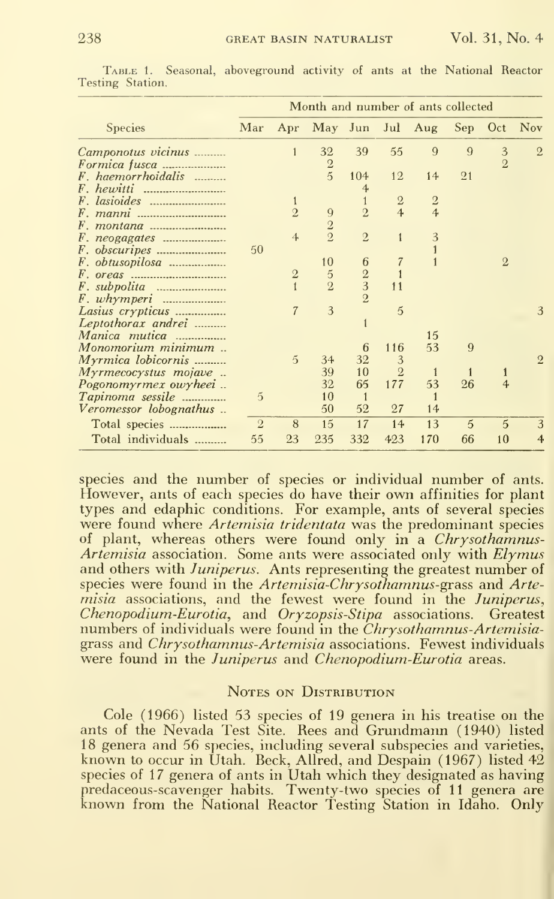|                        | Month and number of ants collected |                |                |                |                |                |              |                |                |
|------------------------|------------------------------------|----------------|----------------|----------------|----------------|----------------|--------------|----------------|----------------|
| <b>Species</b>         | Mar                                | Apr            | May Jun        |                | Jul            | Aug            | Sep          | Oct            | <b>Nov</b>     |
| Camponotus vicinus     |                                    |                | 32             | 39             | 55             | 9              | $\Omega$     | 3              | $\overline{2}$ |
| Formica fusca          |                                    |                | $\frac{2}{5}$  |                |                |                |              | $\overline{2}$ |                |
| F. haemorrhoidalis     |                                    |                |                | 104            | 12             | 14             | 21           |                |                |
|                        |                                    |                |                | $\overline{4}$ |                |                |              |                |                |
|                        |                                    |                |                | 1              | $\mathbf{2}$   | $\overline{2}$ |              |                |                |
|                        |                                    | $\overline{2}$ | 9              | $\overline{2}$ | $\overline{4}$ | $\overline{4}$ |              |                |                |
|                        |                                    |                | $\overline{2}$ |                |                |                |              |                |                |
|                        |                                    | 4              | $\overline{2}$ | $\overline{2}$ | $\mathbf{1}$   | 3              |              |                |                |
| <i>F. obscuripes </i>  | 50                                 |                |                |                |                |                |              |                |                |
| F. obtusopilosa        |                                    |                | 10             | 6              | $\overline{7}$ |                |              | $\overline{2}$ |                |
|                        |                                    | $\overline{2}$ | $\overline{5}$ | $\frac{2}{3}$  |                |                |              |                |                |
|                        |                                    |                | $\overline{2}$ |                | 11             |                |              |                |                |
|                        |                                    |                |                | $\overline{2}$ |                |                |              |                |                |
| Lasius crypticus       |                                    | $\overline{7}$ | 3              |                | 5              |                |              |                | 3              |
| Leptothorax andrei     |                                    |                |                |                |                |                |              |                |                |
| Manica mutica          |                                    |                |                |                |                | 15             |              |                |                |
| Monomorium minimum     |                                    |                |                | 6              | 116            | 53             | 9            |                |                |
| Myrmica lobicornis     |                                    | $\overline{5}$ | 34             | 32             | 3              |                |              |                | $\overline{2}$ |
| Myrmecocystus mojave   |                                    |                | 39             | 10             | $\overline{2}$ | 1              | 1            |                |                |
| Pogonomyrmex owyheei   |                                    |                | 32             | 65             | 177            | 53             | 26           | 4              |                |
| Tapinoma sessile       | 5                                  |                | 10             | $\mathbf{1}$   |                | $\mathbf{1}$   |              |                |                |
| Veromessor lobognathus |                                    |                | 50             | 52             | 27             | 14             |              |                |                |
| Total species          | $\overline{2}$                     | 8              | 15             | 17             | 14             | 13             | $\mathbf{5}$ | 5              | 3              |
| Total individuals      | 55                                 | 23             | 235            | 332            | 423            | 170            | 66           | 10             | $\overline{4}$ |
|                        |                                    |                |                |                |                |                |              |                |                |

Table 1.Seasonal, aboveground activity of ants at the National Reactor Testing Station.

species and the number of species or individual number of ants. However, ants of each species do have their own affinities for plant types and edaphic conditions. For example, ants of several species were found where *Artemisia tridentata* was the predominant species of plant, whereas others were found only in a Chrysothamnus-*Artemisia* association. Some ants were associated only with *Elymus* and others with Juniperus. Ants representing the greatest number of species were found in the Artemisia-Chrysothamnus-grass and Arte*misia* associations, and the fewest were found in the *Juniperus*, Chenopodium-Eurotia, and Oryzopsis-Stipa associations. Greatest numbers of individuals were found in the Chrysothamnus-Artemisiagrass and *Chrysothamnus-Artemisia* associations. Fewest individuals were found in the *Juniperus* and *Chenopodium-Eurotia* areas.

### NOTES ON DISTRIBUTION

Cole (1966) listed 53 species of 19 genera in his treatise on the ants of the Nevada Test Site. Rees and Grundmann (1940) listed 18 genera and 56 species, including several subspecies and varieties, known to occur in Utah. Beck, Allred, and Despain (1967) listed 42 species of 17 genera of ants in Utah which they designated as having predaceous-scavenger habits. Twenty-two species of 11 genera are known from the National Reactor Testing Station in Idaho. Only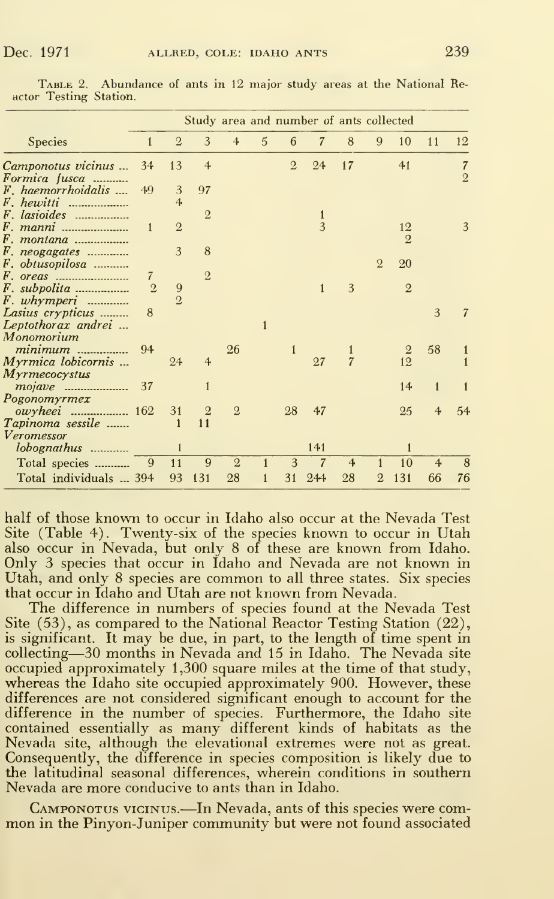|                        |                |                | Study area and number of ants collected |                |   |                |              |                |                |                |              |                |
|------------------------|----------------|----------------|-----------------------------------------|----------------|---|----------------|--------------|----------------|----------------|----------------|--------------|----------------|
| <b>Species</b>         | $\mathbf{1}$   | $\overline{2}$ | 3                                       | 4              | 5 | 6              | 7            | 8              | 9              | 10             | 11           | 12             |
| Camponotus vicinus     | 34             | 13             | $\overline{4}$                          |                |   | $\overline{2}$ | 24           | 17             |                | 41             |              | $\overline{7}$ |
| Formica fusca          |                |                |                                         |                |   |                |              |                |                |                |              | $\overline{2}$ |
| F. haemorrhoidalis     | 49             | 3              | 97                                      |                |   |                |              |                |                |                |              |                |
|                        |                | 4              |                                         |                |   |                |              |                |                |                |              |                |
| F. lasioides           |                |                | $\overline{2}$                          |                |   |                | $\mathbf{1}$ |                |                |                |              |                |
|                        | 1              | $\overline{2}$ |                                         |                |   |                | 3            |                |                | 12             |              | 3              |
| <i>F. montana </i>     |                |                |                                         |                |   |                |              |                |                | $\mathbf{2}$   |              |                |
| $F.$ neogagates        |                | 3              | 8                                       |                |   |                |              |                |                |                |              |                |
| F. obtusopilosa        |                |                |                                         |                |   |                |              |                | $\overline{2}$ | 20             |              |                |
|                        | 7              |                | $\mathbf{2}$                            |                |   |                |              |                |                |                |              |                |
|                        | $\overline{2}$ | 9              |                                         |                |   |                | $\mathbf{1}$ | 3              |                | $\overline{2}$ |              |                |
| $F.$ whymperi          |                | $\overline{Q}$ |                                         |                |   |                |              |                |                |                |              |                |
| Lasius crypticus       | 8              |                |                                         |                |   |                |              |                |                |                | 3            |                |
| Leptothorax andrei     |                |                |                                         |                | 1 |                |              |                |                |                |              |                |
| Monomorium             |                |                |                                         |                |   |                |              |                |                |                |              |                |
| minimum                | 94             |                |                                         | 26             |   | $\mathbf{1}$   |              | 1              |                | $\overline{2}$ | 58           |                |
| Myrmica lobicornis     |                | 24             | $\overline{4}$                          |                |   |                | 27           | $\overline{7}$ |                | 12             |              |                |
| Myrmecocystus          |                |                |                                         |                |   |                |              |                |                |                |              |                |
|                        | 37             |                |                                         |                |   |                |              |                |                | 14             | $\mathbf{1}$ |                |
| Pogonomyrmex           |                |                |                                         |                |   |                |              |                |                |                |              |                |
|                        |                | 31             | $\overline{2}$                          | $\overline{2}$ |   | 28             | 47           |                |                | 25             | 4            | 54             |
| Tapinoma sessile       |                |                | 11                                      |                |   |                |              |                |                |                |              |                |
| Veromessor             |                |                |                                         |                |   |                |              |                |                |                |              |                |
| lobognathus            |                | $\mathbf{1}$   |                                         |                |   |                | 141          |                |                | $\mathbf{1}$   |              |                |
| Total species          | 9              | 11             | 9                                       | $\overline{2}$ |   | 3              | 7            | $\overline{4}$ | 1              | 10             | 4            | 8              |
|                        |                |                |                                         |                |   |                |              |                |                |                |              |                |
| Total individuals  394 |                | 93             | 131                                     | 28             |   | 31             | 244          | 28             | 2              | 131            | 66           | 76             |

TABLE 2. Abundance of ants in 12 major study areas at the National Reactor Testing Station.

half of those known to occur in Idaho also occur at the Nevada Test Site (Table 4). Twenty-six of the species known to occur in Utah also occur in Nevada, but only 8 of these are known from Idaho. Only 3 species that occur in Idaho and Nevada are not known in Utah, and only 8 species are common to all three states. Six species that occur in Idaho and Utah are not known from Nevada.

The difference in numbers of species found at the Nevada Test Site (53), as compared to the National Reactor Testing Station (22), is significant. It may be due, in part, to the length of time spent in collecting—30 months in Nevada and 15 in Idaho. The Nevada site occupied approximately 1,300 square miles at the time of that study, whereas the Idaho site occupied approximately 900. However, these differences are not considered significant enough to account for the difference in the number of species. Furthermore, the Idaho site contained essentially as many different kinds of habitats as the Nevada site, although the elevational extremes were not as great. Consequently, the difference in species composition is likely due to the latitudinal seasonal differences, wherein conditions in southern Nevada are more conducive to ants than in Idaho.

CAMPONOTUS VICINUS.-In Nevada, ants of this species were common in the Pinyon-Juniper community but were not found associated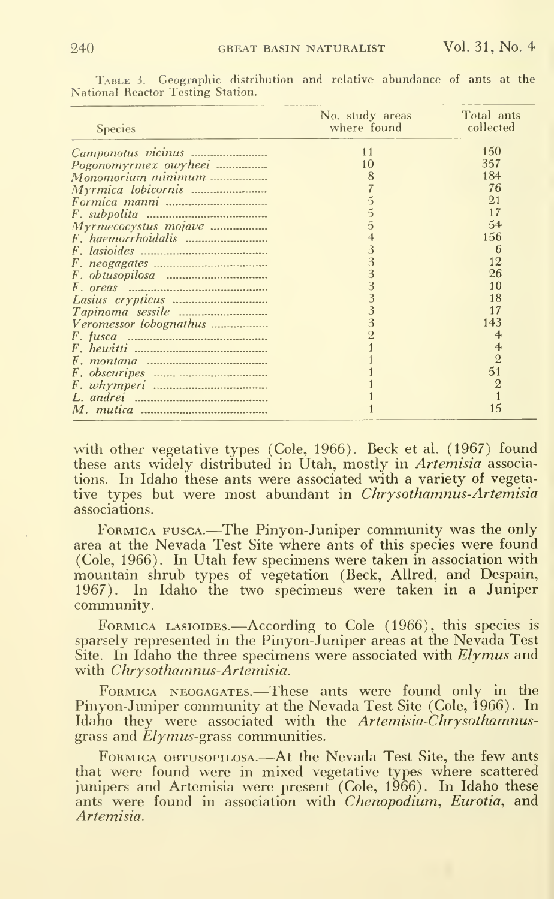| <b>Species</b>         | No. study areas<br>where found | Total ants<br>collected |
|------------------------|--------------------------------|-------------------------|
|                        | 11                             | 150                     |
| Pogonomyrmex owyheei   | 10                             | 357                     |
| Monomorium minimum     | 8                              | 184                     |
|                        |                                | 76                      |
|                        |                                | 21                      |
|                        |                                | 17                      |
| Myrmecocystus mojave   | 5                              | 54                      |
|                        |                                | 156                     |
|                        | 3                              | 6                       |
|                        |                                | 12                      |
|                        |                                | 26                      |
|                        |                                | 10                      |
|                        |                                | 18                      |
|                        |                                |                         |
| Veromessor lobognathus | 3                              | 143                     |
|                        |                                |                         |
|                        |                                | $\overline{4}$          |
|                        |                                | $\overline{2}$          |
|                        |                                | 51                      |
|                        |                                | 2                       |
|                        |                                |                         |
|                        |                                | 15                      |

Table 3. Geographic distribution and relative abundance of ants at the National Reactor Testing Station.

with other vegetative types (Cole, 1966). Beck et al. (1967) found these ants widely distributed in Utah, mostly in *Artemisia* associations. In Idaho these ants were associated with a variety of vegetative types but were most abundant in *Chrysothamnus-Artemisia* associations.

FORMICA FUSCA.—The Pinyon-Juniper community was the only area at the Nevada Test Site where ants of this species were found (Cole, 1966). In Utah few specimens were taken in association with mountain shrub types of vegetation (Beck, Allred, and Despain, 1967). In Idaho the two specimens were taken in a Juniper community.

FORMICA LASIOIDES.—According to Cole (1966), this species is sparsely represented in the Pinyon-Juniper areas at the Nevada Test Site. In Idaho the three specimens were associated with  $El\gamma mus$  and with *Chrysothamnus-Artemisia*.

FORMICA NEOGAGATES.—These ants were found only in the Pinyon-Juniper community at the Nevada Test Site (Cole, 1966). In Idaho they were associated with the Artemisia-Chrysothamnusgrass and  $Elymus-grass$  communities.

FORMICA OBTUSOPILOSA.—At the Nevada Test Site, the few ants that were found were in mixed vegetative types where scattered<br>junipers and Artemisia were present (Cole, 1966). In Idaho these ants were found in association with *Chenopodium*, *Eurotia*, and Artemisia.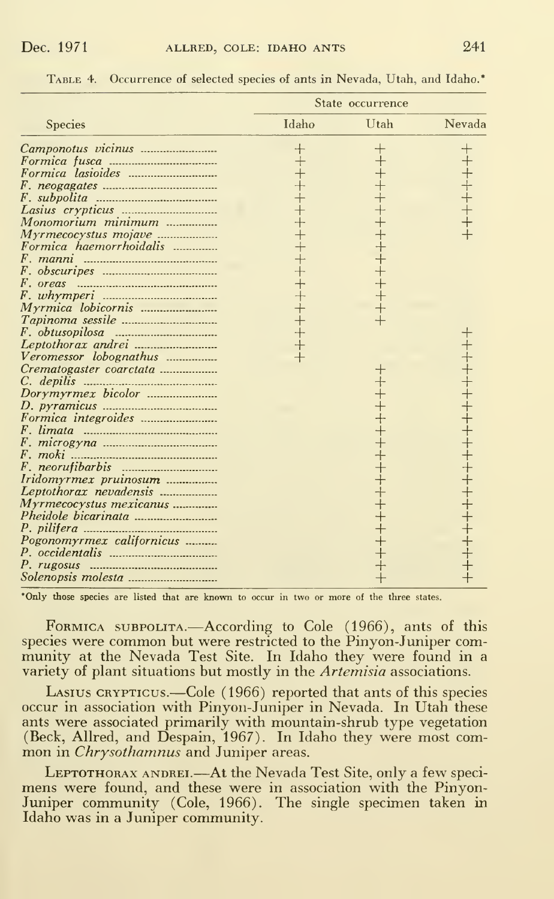|                           | State occurrence |             |                                 |  |  |  |
|---------------------------|------------------|-------------|---------------------------------|--|--|--|
| <b>Species</b>            | Idaho            | Utah        | Nevada                          |  |  |  |
| Camponotus vicinus        | $\pm$            |             | $\hspace{.1cm} + \hspace{.1cm}$ |  |  |  |
|                           | $+$              |             |                                 |  |  |  |
|                           |                  |             |                                 |  |  |  |
|                           |                  |             |                                 |  |  |  |
|                           |                  | $+ + + + +$ |                                 |  |  |  |
|                           |                  |             |                                 |  |  |  |
| Monomorium minimum        | $^{+}$           |             |                                 |  |  |  |
| Myrmecocystus mojave      |                  |             |                                 |  |  |  |
| Formica haemorrhoidalis   | $\overline{+}$   |             |                                 |  |  |  |
|                           |                  |             |                                 |  |  |  |
|                           |                  | ┼┼┼┼┼┼┼┼    |                                 |  |  |  |
|                           |                  |             |                                 |  |  |  |
|                           |                  |             |                                 |  |  |  |
|                           |                  |             |                                 |  |  |  |
|                           |                  |             |                                 |  |  |  |
|                           | $^{+}$           |             |                                 |  |  |  |
|                           | $^{+}$           |             |                                 |  |  |  |
|                           | $\overline{+}$   |             |                                 |  |  |  |
| Veromessor lobognathus    |                  |             |                                 |  |  |  |
| Crematogaster coarctata   |                  |             |                                 |  |  |  |
|                           |                  |             |                                 |  |  |  |
|                           |                  |             |                                 |  |  |  |
|                           |                  |             |                                 |  |  |  |
|                           |                  |             |                                 |  |  |  |
|                           |                  |             |                                 |  |  |  |
|                           |                  |             |                                 |  |  |  |
|                           |                  |             |                                 |  |  |  |
|                           |                  |             |                                 |  |  |  |
|                           |                  | ┽┽┽┽┽┽┽┽    |                                 |  |  |  |
| Iridomyrmex pruinosum     |                  |             |                                 |  |  |  |
| Leptothorax nevadensis    |                  |             |                                 |  |  |  |
| Myrmecocystus mexicanus   |                  |             |                                 |  |  |  |
|                           |                  |             |                                 |  |  |  |
|                           |                  | $+ + + + +$ |                                 |  |  |  |
| Pogonomyrmex californicus |                  |             |                                 |  |  |  |
|                           |                  |             |                                 |  |  |  |
|                           |                  |             |                                 |  |  |  |
|                           |                  |             |                                 |  |  |  |

Table 4. Occurrence of selected species of ants in Nevada, Utah, and Idaho.\*

'Only those species are listed that are known to occur in two or more of the three states.

Formica subpolita.—According to Cole (1966), ants of this species were common but were restricted to the Pinyon-Juniper com munity at the Nevada Test Site. In Idaho they were found in a variety of plant situations but mostly in the Artemisia associations.

Lasius crypticus.—Cole (1966) reported that ants of this species occur in association with Pinyon-Juniper in Nevada. In Utah these ants were associated primarily with mountain-shrub type vegetation (Beck, Allred, and Despain, 1967). In Idaho they were most com-<br>mon in *Chrysothamnus* and Juniper areas.

LEPTOTHORAX ANDREI.—At the Nevada Test Site, only a few speci- mens were found, and these were in association with the Pinyon-Juniper community (Cole, 1966). The single specimen taken in Idaho was in a Juniper community.